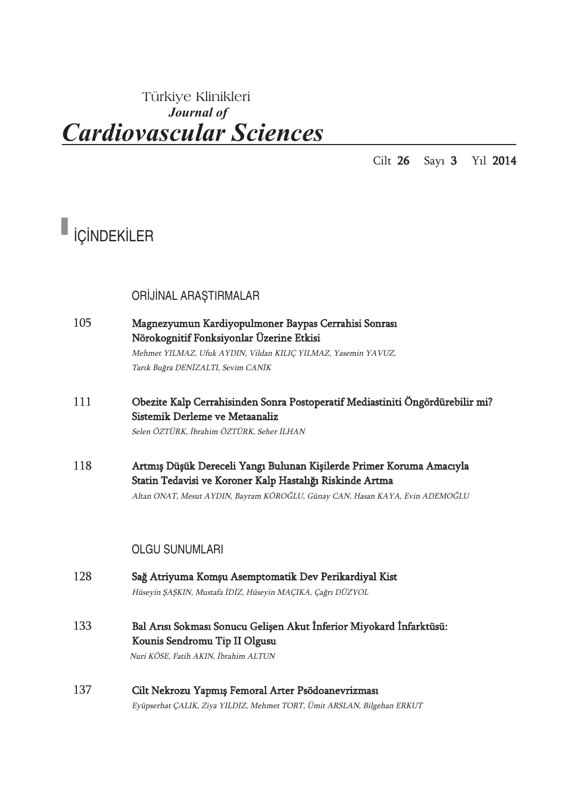### Türkiye Klinikleri *Journal of Cardiovascular Sciences*

Cilt 26 Sayı 3 Yıl 2014

# $\blacksquare$  içindekiler

ORİJİNAL ARAŞTIRMALAR

- 105 Magnezyumun Kardiyopulmoner Baypas Cerrahisi Sonrası Nörokognitif Fonksiyonlar Üzerine Etkisi Mehmet YILMAZ, Ufuk AYDIN, Vildan KILIÇ YILMAZ, Yasemin YAVUZ, Tarık Buğra DENİZALTI, Sevim CANİK
- 111 Obezite Kalp Cerrahisinden Sonra Postoperatif Mediastiniti Öngördürebilir mi? Sistemik Derleme ve Metaanaliz Selen ÖZTÜRK, İbrahim ÖZTÜRK, Seher İLHAN
- 118 Artmış Düşük Dereceli Yangı Bulunan Kişilerde Primer Koruma Amacıyla Statin Tedavisi ve Koroner Kalp Hastalığı Riskinde Artma Altan ONAT, Mesut AYDIN, Bayram KÖROĞLU, Günay CAN, Hasan KAYA, Evin ADEMOĞLU

#### OLGU SUNUMLARI

- 128 Sağ Atriyuma Komşu Asemptomatik Dev Perikardiyal Kist Hüseyin ŞAŞKIN, Mustafa İDİZ, Hüseyin MAÇIKA, Çağrı DÜZYOL 133 Bal Arısı Sokması Sonucu Gelişen Akut İnferior Miyokard İnfarktüsü: Kounis Sendromu Tip II Olgusu Nuri KÖSE, Fatih AKIN, İbrahim ALTUN
- 137 Cilt Nekrozu Yapmış Femoral Arter Psödoanevrizması Eyüpserhat ÇALIK, Ziya YILDIZ, Mehmet TORT, Ümit ARSLAN, Bilgehan ERKUT